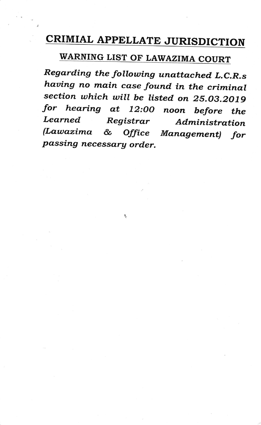## CRIMIAL APPELLATE JURISDICTION

## WARNING LIST OF LAWAZIMA COURT

Regarding the following unattached L.C.R.s having no main case found in the criminal section which will be listed on 25.03.2019 for hearing at 12:00 noon before the<br>Learned Registrar Administration (Lawazima & Office Management) for<br>passing necessary order.

۲.